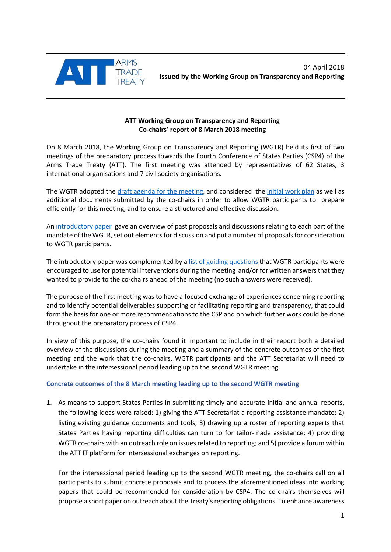

## **ATT Working Group on Transparency and Reporting Co-chairs' report of 8 March 2018 meeting**

On 8 March 2018, the Working Group on Transparency and Reporting (WGTR) held its first of two meetings of the preparatory process towards the Fourth Conference of States Parties (CSP4) of the Arms Trade Treaty (ATT). The first meeting was attended by representatives of 62 States, 3 international organisations and 7 civil society organisations.

The WGTR adopted the [draft agenda for the](http://thearmstradetreaty.org/images/CSP4/CSP4_preparatory_process/March_WG__Prep_Meetings/ATT_WGTR_CSP4_Draft_agenda_meeting_8_March_2018.pdf) meeting, and considered the [initial work plan](http://thearmstradetreaty.org/images/CSP4/CSP4_preparatory_process/March_WG__Prep_Meetings/ATT_WGTR_CSP4_Initial_work_plan.pdf) as well as additional documents submitted by the co-chairs in order to allow WGTR participants to prepare efficiently for this meeting, and to ensure a structured and effective discussion.

An [introductory paper](http://thearmstradetreaty.org/images/CSP4/CSP4_preparatory_process/March_WG__Prep_Meetings/ATT_WGTR_CSP4_Introductory_paper.pdf) gave an overview of past proposals and discussions relating to each part of the mandate of the WGTR, set out elements for discussion and put a number of proposals for consideration to WGTR participants.

The introductory paper was complemented by [a list of guiding questions](http://thearmstradetreaty.org/images/CSP4/CSP4_preparatory_process/March_WG__Prep_Meetings/ATT_WGTR_CSP4_Guiding_Questions.pdf) that WGTR participants were encouraged to use for potential interventions during the meeting and/or for written answers that they wanted to provide to the co-chairs ahead of the meeting (no such answers were received).

The purpose of the first meeting was to have a focused exchange of experiences concerning reporting and to identify potential deliverables supporting or facilitating reporting and transparency, that could form the basis for one or more recommendations to the CSP and on which further work could be done throughout the preparatory process of CSP4.

In view of this purpose, the co-chairs found it important to include in their report both a detailed overview of the discussions during the meeting and a summary of the concrete outcomes of the first meeting and the work that the co-chairs, WGTR participants and the ATT Secretariat will need to undertake in the intersessional period leading up to the second WGTR meeting.

# **Concrete outcomes of the 8 March meeting leading up to the second WGTR meeting**

1. As means to support States Parties in submitting timely and accurate initial and annual reports, the following ideas were raised: 1) giving the ATT Secretariat a reporting assistance mandate; 2) listing existing guidance documents and tools; 3) drawing up a roster of reporting experts that States Parties having reporting difficulties can turn to for tailor-made assistance; 4) providing WGTR co-chairs with an outreach role on issues related to reporting; and 5) provide a forum within the ATT IT platform for intersessional exchanges on reporting.

For the intersessional period leading up to the second WGTR meeting, the co-chairs call on all participants to submit concrete proposals and to process the aforementioned ideas into working papers that could be recommended for consideration by CSP4. The co-chairs themselves will propose a short paper on outreach about the Treaty's reporting obligations. To enhance awareness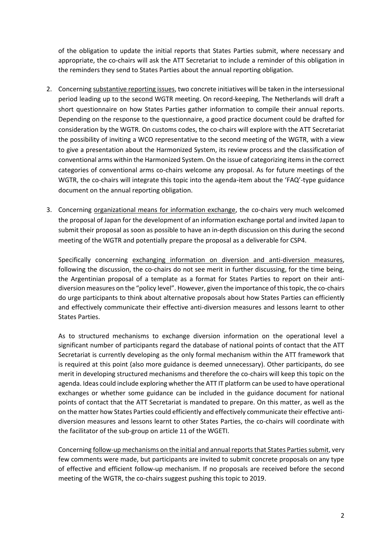of the obligation to update the initial reports that States Parties submit, where necessary and appropriate, the co-chairs will ask the ATT Secretariat to include a reminder of this obligation in the reminders they send to States Parties about the annual reporting obligation.

- 2. Concerning substantive reporting issues, two concrete initiatives will be taken in the intersessional period leading up to the second WGTR meeting. On record-keeping, The Netherlands will draft a short questionnaire on how States Parties gather information to compile their annual reports. Depending on the response to the questionnaire, a good practice document could be drafted for consideration by the WGTR. On customs codes, the co-chairs will explore with the ATT Secretariat the possibility of inviting a WCO representative to the second meeting of the WGTR, with a view to give a presentation about the Harmonized System, its review process and the classification of conventional arms within the Harmonized System. On the issue of categorizing items in the correct categories of conventional arms co-chairs welcome any proposal. As for future meetings of the WGTR, the co-chairs will integrate this topic into the agenda-item about the 'FAQ'-type guidance document on the annual reporting obligation.
- 3. Concerning organizational means for information exchange, the co-chairs very much welcomed the proposal of Japan for the development of an information exchange portal and invited Japan to submit their proposal as soon as possible to have an in-depth discussion on this during the second meeting of the WGTR and potentially prepare the proposal as a deliverable for CSP4.

Specifically concerning exchanging information on diversion and anti-diversion measures, following the discussion, the co-chairs do not see merit in further discussing, for the time being, the Argentinian proposal of a template as a format for States Parties to report on their antidiversion measures on the "policy level". However, given the importance of this topic, the co-chairs do urge participants to think about alternative proposals about how States Parties can efficiently and effectively communicate their effective anti-diversion measures and lessons learnt to other States Parties.

As to structured mechanisms to exchange diversion information on the operational level a significant number of participants regard the database of national points of contact that the ATT Secretariat is currently developing as the only formal mechanism within the ATT framework that is required at this point (also more guidance is deemed unnecessary). Other participants, do see merit in developing structured mechanisms and therefore the co-chairs will keep this topic on the agenda. Ideas could include exploring whether the ATT IT platform can be used to have operational exchanges or whether some guidance can be included in the guidance document for national points of contact that the ATT Secretariat is mandated to prepare. On this matter, as well as the on the matter how States Parties could efficiently and effectively communicate their effective antidiversion measures and lessons learnt to other States Parties, the co-chairs will coordinate with the facilitator of the sub-group on article 11 of the WGETI.

Concerning follow-up mechanisms on the initial and annual reports that States Parties submit, very few comments were made, but participants are invited to submit concrete proposals on any type of effective and efficient follow-up mechanism. If no proposals are received before the second meeting of the WGTR, the co-chairs suggest pushing this topic to 2019.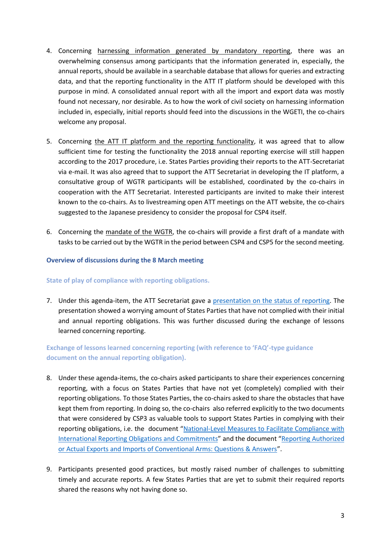- 4. Concerning harnessing information generated by mandatory reporting, there was an overwhelming consensus among participants that the information generated in, especially, the annual reports, should be available in a searchable database that allows for queries and extracting data, and that the reporting functionality in the ATT IT platform should be developed with this purpose in mind. A consolidated annual report with all the import and export data was mostly found not necessary, nor desirable. As to how the work of civil society on harnessing information included in, especially, initial reports should feed into the discussions in the WGETI, the co-chairs welcome any proposal.
- 5. Concerning the ATT IT platform and the reporting functionality, it was agreed that to allow sufficient time for testing the functionality the 2018 annual reporting exercise will still happen according to the 2017 procedure, i.e. States Parties providing their reports to the ATT-Secretariat via e-mail. It was also agreed that to support the ATT Secretariat in developing the IT platform, a consultative group of WGTR participants will be established, coordinated by the co-chairs in cooperation with the ATT Secretariat. Interested participants are invited to make their interest known to the co-chairs. As to livestreaming open ATT meetings on the ATT website, the co-chairs suggested to the Japanese presidency to consider the proposal for CSP4 itself.
- 6. Concerning the mandate of the WGTR, the co-chairs will provide a first draft of a mandate with tasks to be carried out by the WGTR in the period between CSP4 and CSP5 for the second meeting.

### **Overview of discussions during the 8 March meeting**

### **State of play of compliance with reporting obligations.**

7. Under this agenda-item, the ATT Secretariat gave a [presentation on the status of reporting.](http://thearmstradetreaty.org/images/CSP4/CSP4_preparatory_process/March_WG__Prep_Meetings/180308_-_ATT_Secretariat_-_Status_of_Reporting.pdf) The presentation showed a worrying amount of States Parties that have not complied with their initial and annual reporting obligations. This was further discussed during the exchange of lessons learned concerning reporting.

**Exchange of lessons learned concerning reporting (with reference to 'FAQ'-type guidance document on the annual reporting obligation).**

- 8. Under these agenda-items, the co-chairs asked participants to share their experiences concerning reporting, with a focus on States Parties that have not yet (completely) complied with their reporting obligations. To those States Parties, the co-chairs asked to share the obstacles that have kept them from reporting. In doing so, the co-chairs also referred explicitly to the two documents that were considered by CSP3 as valuable tools to support States Parties in complying with their reporting obligations, i.e. the document "[National-Level Measures to Facilitate Compliance with](http://thearmstradetreaty.org/images/CSP3_Documents/Conference_Documents/WGTR_Draft_Report_to_CSP3_EN.pdf)  [International Reporting Obligations and Commitments](http://thearmstradetreaty.org/images/CSP3_Documents/Conference_Documents/WGTR_Draft_Report_to_CSP3_EN.pdf)" and the document "Reporting [Authorized](http://www.thearmstradetreaty.org/images/Annual_Reports_2016/Guidance/Reporting_Authorized_or_Actual_Exports_and_Imports_of_Conventional_Arms_under_the_ATT_EN_-_for_website.pdf)  [or Actual Exports and Imports of Conventional Arms: Questions & Answers](http://www.thearmstradetreaty.org/images/Annual_Reports_2016/Guidance/Reporting_Authorized_or_Actual_Exports_and_Imports_of_Conventional_Arms_under_the_ATT_EN_-_for_website.pdf)".
- 9. Participants presented good practices, but mostly raised number of challenges to submitting timely and accurate reports. A few States Parties that are yet to submit their required reports shared the reasons why not having done so.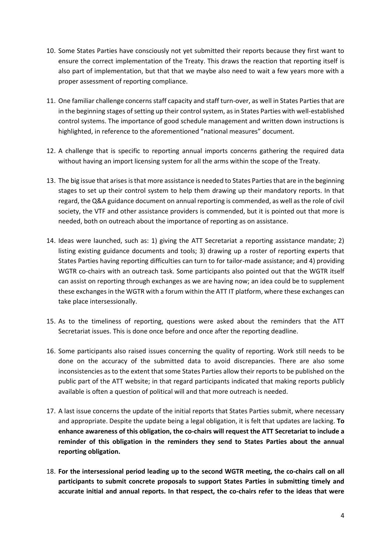- 10. Some States Parties have consciously not yet submitted their reports because they first want to ensure the correct implementation of the Treaty. This draws the reaction that reporting itself is also part of implementation, but that that we maybe also need to wait a few years more with a proper assessment of reporting compliance.
- 11. One familiar challenge concerns staff capacity and staff turn-over, as well in States Parties that are in the beginning stages of setting up their control system, as in States Parties with well-established control systems. The importance of good schedule management and written down instructions is highlighted, in reference to the aforementioned "national measures" document.
- 12. A challenge that is specific to reporting annual imports concerns gathering the required data without having an import licensing system for all the arms within the scope of the Treaty.
- 13. The big issue that arises is that more assistance is needed to States Parties that are in the beginning stages to set up their control system to help them drawing up their mandatory reports. In that regard, the Q&A guidance document on annual reporting is commended, as well as the role of civil society, the VTF and other assistance providers is commended, but it is pointed out that more is needed, both on outreach about the importance of reporting as on assistance.
- 14. Ideas were launched, such as: 1) giving the ATT Secretariat a reporting assistance mandate; 2) listing existing guidance documents and tools; 3) drawing up a roster of reporting experts that States Parties having reporting difficulties can turn to for tailor-made assistance; and 4) providing WGTR co-chairs with an outreach task. Some participants also pointed out that the WGTR itself can assist on reporting through exchanges as we are having now; an idea could be to supplement these exchanges in the WGTR with a forum within the ATT IT platform, where these exchanges can take place intersessionally.
- 15. As to the timeliness of reporting, questions were asked about the reminders that the ATT Secretariat issues. This is done once before and once after the reporting deadline.
- 16. Some participants also raised issues concerning the quality of reporting. Work still needs to be done on the accuracy of the submitted data to avoid discrepancies. There are also some inconsistencies as to the extent that some States Parties allow their reports to be published on the public part of the ATT website; in that regard participants indicated that making reports publicly available is often a question of political will and that more outreach is needed.
- 17. A last issue concerns the update of the initial reports that States Parties submit, where necessary and appropriate. Despite the update being a legal obligation, it is felt that updates are lacking. **To enhance awareness of this obligation, the co-chairs will request the ATT Secretariat to include a reminder of this obligation in the reminders they send to States Parties about the annual reporting obligation.**
- 18. **For the intersessional period leading up to the second WGTR meeting, the co-chairs call on all participants to submit concrete proposals to support States Parties in submitting timely and accurate initial and annual reports. In that respect, the co-chairs refer to the ideas that were**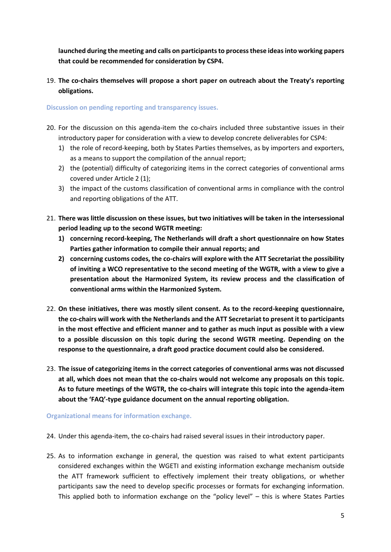**launched during the meeting and calls on participants to process these ideas into working papers that could be recommended for consideration by CSP4.** 

19. **The co-chairs themselves will propose a short paper on outreach about the Treaty's reporting obligations.**

**Discussion on pending reporting and transparency issues.**

- 20. For the discussion on this agenda-item the co-chairs included three substantive issues in their introductory paper for consideration with a view to develop concrete deliverables for CSP4:
	- 1) the role of record-keeping, both by States Parties themselves, as by importers and exporters, as a means to support the compilation of the annual report;
	- 2) the (potential) difficulty of categorizing items in the correct categories of conventional arms covered under Article 2 (1);
	- 3) the impact of the customs classification of conventional arms in compliance with the control and reporting obligations of the ATT.
- 21. **There was little discussion on these issues, but two initiatives will be taken in the intersessional period leading up to the second WGTR meeting:**
	- **1) concerning record-keeping, The Netherlands will draft a short questionnaire on how States Parties gather information to compile their annual reports; and**
	- **2) concerning customs codes, the co-chairs will explore with the ATT Secretariat the possibility of inviting a WCO representative to the second meeting of the WGTR, with a view to give a presentation about the Harmonized System, its review process and the classification of conventional arms within the Harmonized System.**
- 22. **On these initiatives, there was mostly silent consent. As to the record-keeping questionnaire, the co-chairs will work with the Netherlands and the ATT Secretariat to present it to participants in the most effective and efficient manner and to gather as much input as possible with a view to a possible discussion on this topic during the second WGTR meeting. Depending on the response to the questionnaire, a draft good practice document could also be considered.**
- 23. **The issue of categorizing items in the correct categories of conventional arms was not discussed at all, which does not mean that the co-chairs would not welcome any proposals on this topic. As to future meetings of the WGTR, the co-chairs will integrate this topic into the agenda-item about the 'FAQ'-type guidance document on the annual reporting obligation.**

**Organizational means for information exchange.**

- 24. Under this agenda-item, the co-chairs had raised several issues in their introductory paper.
- 25. As to information exchange in general, the question was raised to what extent participants considered exchanges within the WGETI and existing information exchange mechanism outside the ATT framework sufficient to effectively implement their treaty obligations, or whether participants saw the need to develop specific processes or formats for exchanging information. This applied both to information exchange on the "policy level" – this is where States Parties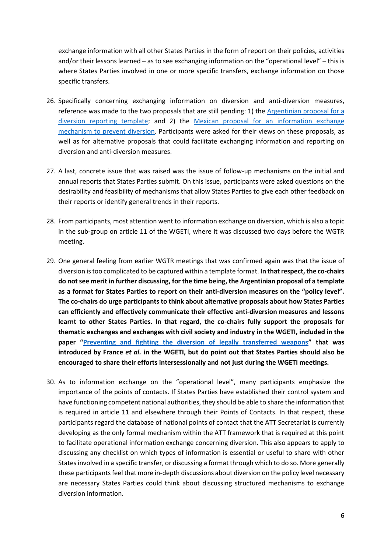exchange information with all other States Parties in the form of report on their policies, activities and/or their lessons learned – as to see exchanging information on the "operational level" – this is where States Parties involved in one or more specific transfers, exchange information on those specific transfers.

- 26. Specifically concerning exchanging information on diversion and anti-diversion measures, reference was made to the two proposals that are still pending: 1) the [Argentinian proposal for a](http://www.thearmstradetreaty.org/images/ATT_CSP1_2015_PM.2_WP.4_Rev.1.pdf)  [diversion reporting template;](http://www.thearmstradetreaty.org/images/ATT_CSP1_2015_PM.2_WP.4_Rev.1.pdf) and 2) the [Mexican proposal for an information exchange](http://www.thearmstradetreaty.org/images/CSP3_Documents/WG_documents/WGTR_-_Mexico_proposal_-_Information_exchange_mechanism_to_prevent_diversion_of_conventional_arms_to_the_illicit_market.pdf)  [mechanism to prevent diversion.](http://www.thearmstradetreaty.org/images/CSP3_Documents/WG_documents/WGTR_-_Mexico_proposal_-_Information_exchange_mechanism_to_prevent_diversion_of_conventional_arms_to_the_illicit_market.pdf) Participants were asked for their views on these proposals, as well as for alternative proposals that could facilitate exchanging information and reporting on diversion and anti-diversion measures.
- 27. A last, concrete issue that was raised was the issue of follow-up mechanisms on the initial and annual reports that States Parties submit. On this issue, participants were asked questions on the desirability and feasibility of mechanisms that allow States Parties to give each other feedback on their reports or identify general trends in their reports.
- 28. From participants, most attention went to information exchange on diversion, which is also a topic in the sub-group on article 11 of the WGETI, where it was discussed two days before the WGTR meeting.
- 29. One general feeling from earlier WGTR meetings that was confirmed again was that the issue of diversion is too complicated to be captured within a template format. **In that respect, the co-chairs do not see merit in further discussing, for the time being, the Argentinian proposal of a template as a format for States Parties to report on their anti-diversion measures on the "policy level". The co-chairs do urge participants to think about alternative proposals about how States Parties can efficiently and effectively communicate their effective anti-diversion measures and lessons learnt to other States Parties. In that regard, the co-chairs fully support the proposals for thematic exchanges and exchanges with civil society and industry in the WGETI, included in the paper "[Preventing and fighting the diversion of legally transferred weapons](http://thearmstradetreaty.org/images/CSP4/CSP4_preparatory_process/March_WG__Prep_Meetings/ATT_WGETI_CSP4_WP_Diversion_France_et_al.pdf)" that was introduced by France** *et al.* **in the WGETI, but do point out that States Parties should also be encouraged to share their efforts intersessionally and not just during the WGETI meetings.**
- 30. As to information exchange on the "operational level", many participants emphasize the importance of the points of contacts. If States Parties have established their control system and have functioning competent national authorities, they should be able to share the information that is required in article 11 and elsewhere through their Points of Contacts. In that respect, these participants regard the database of national points of contact that the ATT Secretariat is currently developing as the only formal mechanism within the ATT framework that is required at this point to facilitate operational information exchange concerning diversion. This also appears to apply to discussing any checklist on which types of information is essential or useful to share with other States involved in a specific transfer, or discussing a format through which to do so. More generally these participants feel that more in-depth discussions about diversion on the policy level necessary are necessary States Parties could think about discussing structured mechanisms to exchange diversion information.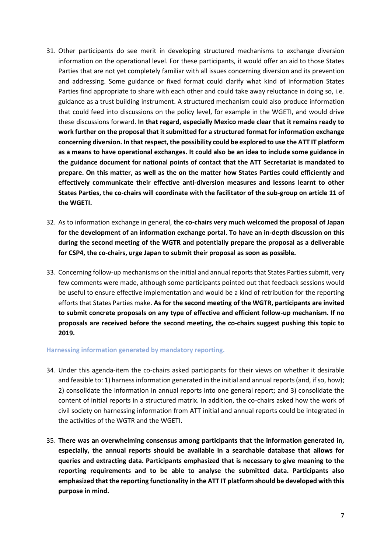- 31. Other participants do see merit in developing structured mechanisms to exchange diversion information on the operational level. For these participants, it would offer an aid to those States Parties that are not yet completely familiar with all issues concerning diversion and its prevention and addressing. Some guidance or fixed format could clarify what kind of information States Parties find appropriate to share with each other and could take away reluctance in doing so, i.e. guidance as a trust building instrument. A structured mechanism could also produce information that could feed into discussions on the policy level, for example in the WGETI, and would drive these discussions forward. **In that regard, especially Mexico made clear that it remains ready to work further on the proposal that it submitted for a structured format for information exchange concerning diversion. In that respect, the possibility could be explored to use the ATT IT platform as a means to have operational exchanges. It could also be an idea to include some guidance in the guidance document for national points of contact that the ATT Secretariat is mandated to prepare. On this matter, as well as the on the matter how States Parties could efficiently and effectively communicate their effective anti-diversion measures and lessons learnt to other States Parties, the co-chairs will coordinate with the facilitator of the sub-group on article 11 of the WGETI.**
- 32. As to information exchange in general, **the co-chairs very much welcomed the proposal of Japan for the development of an information exchange portal. To have an in-depth discussion on this during the second meeting of the WGTR and potentially prepare the proposal as a deliverable for CSP4, the co-chairs, urge Japan to submit their proposal as soon as possible.**
- 33. Concerning follow-up mechanisms on the initial and annual reports that States Parties submit, very few comments were made, although some participants pointed out that feedback sessions would be useful to ensure effective implementation and would be a kind of retribution for the reporting efforts that States Parties make. **As for the second meeting of the WGTR, participants are invited to submit concrete proposals on any type of effective and efficient follow-up mechanism. If no proposals are received before the second meeting, the co-chairs suggest pushing this topic to 2019.**

### **Harnessing information generated by mandatory reporting.**

- 34. Under this agenda-item the co-chairs asked participants for their views on whether it desirable and feasible to: 1) harness information generated in the initial and annual reports (and, if so, how); 2) consolidate the information in annual reports into one general report; and 3) consolidate the content of initial reports in a structured matrix. In addition, the co-chairs asked how the work of civil society on harnessing information from ATT initial and annual reports could be integrated in the activities of the WGTR and the WGETI.
- 35. **There was an overwhelming consensus among participants that the information generated in, especially, the annual reports should be available in a searchable database that allows for queries and extracting data. Participants emphasized that is necessary to give meaning to the reporting requirements and to be able to analyse the submitted data. Participants also emphasized that the reporting functionality in the ATT IT platform should be developed with this purpose in mind.**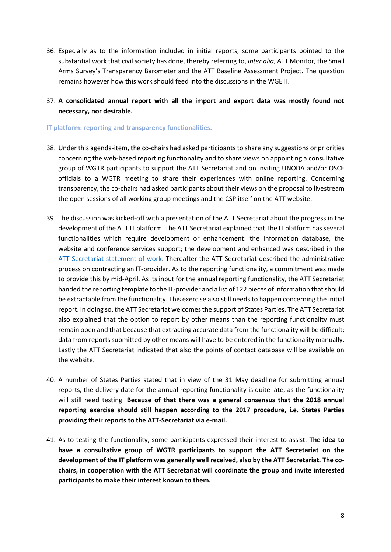- 36. Especially as to the information included in initial reports, some participants pointed to the substantial work that civil society has done, thereby referring to, *inter alia*, ATT Monitor, the Small Arms Survey's Transparency Barometer and the ATT Baseline Assessment Project. The question remains however how this work should feed into the discussions in the WGETI.
- 37. **A consolidated annual report with all the import and export data was mostly found not necessary, nor desirable.**

### **IT platform: reporting and transparency functionalities.**

- 38. Under this agenda-item, the co-chairs had asked participants to share any suggestions or priorities concerning the web-based reporting functionality and to share views on appointing a consultative group of WGTR participants to support the ATT Secretariat and on inviting UNODA and/or OSCE officials to a WGTR meeting to share their experiences with online reporting. Concerning transparency, the co-chairs had asked participants about their views on the proposal to livestream the open sessions of all working group meetings and the CSP itself on the ATT website.
- 39. The discussion was kicked-off with a presentation of the ATT Secretariat about the progress in the development of the ATT IT platform. The ATT Secretariat explained that The IT platform has several functionalities which require development or enhancement: the Information database, the website and conference services support; the development and enhanced was described in the [ATT Secretariat statement of work.](http://www.thearmstradetreaty.org/images/CSP3_Documents/ATT_Secretariat_-_Website_Statement_of_Work_31_March_2017.pdf) Thereafter the ATT Secretariat described the administrative process on contracting an IT-provider. As to the reporting functionality, a commitment was made to provide this by mid-April. As its input for the annual reporting functionality, the ATT Secretariat handed the reporting template to the IT-provider and a list of 122 pieces of information that should be extractable from the functionality. This exercise also still needs to happen concerning the initial report. In doing so, the ATT Secretariat welcomes the support of States Parties. The ATT Secretariat also explained that the option to report by other means than the reporting functionality must remain open and that because that extracting accurate data from the functionality will be difficult; data from reports submitted by other means will have to be entered in the functionality manually. Lastly the ATT Secretariat indicated that also the points of contact database will be available on the website.
- 40. A number of States Parties stated that in view of the 31 May deadline for submitting annual reports, the delivery date for the annual reporting functionality is quite late, as the functionality will still need testing. **Because of that there was a general consensus that the 2018 annual reporting exercise should still happen according to the 2017 procedure, i.e. States Parties providing their reports to the ATT-Secretariat via e-mail.**
- 41. As to testing the functionality, some participants expressed their interest to assist. **The idea to have a consultative group of WGTR participants to support the ATT Secretariat on the development of the IT platform was generally well received, also by the ATT Secretariat. The cochairs, in cooperation with the ATT Secretariat will coordinate the group and invite interested participants to make their interest known to them.**